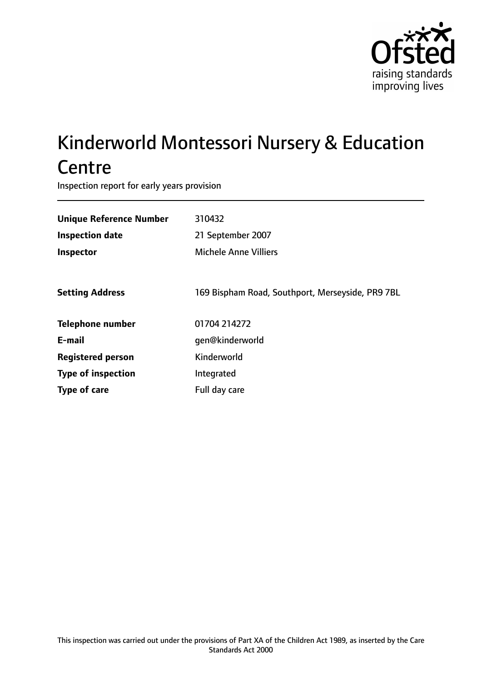

# Kinderworld Montessori Nursery & Education **Centre**

Inspection report for early years provision

| <b>Unique Reference Number</b> | 310432                                           |
|--------------------------------|--------------------------------------------------|
| <b>Inspection date</b>         | 21 September 2007                                |
| Inspector                      | <b>Michele Anne Villiers</b>                     |
|                                |                                                  |
| <b>Setting Address</b>         | 169 Bispham Road, Southport, Merseyside, PR9 7BL |
| <b>Telephone number</b>        | 01704 214272                                     |
| E-mail                         | qen@kinderworld                                  |
| <b>Registered person</b>       | Kinderworld                                      |
| <b>Type of inspection</b>      | Integrated                                       |
| Type of care                   | Full day care                                    |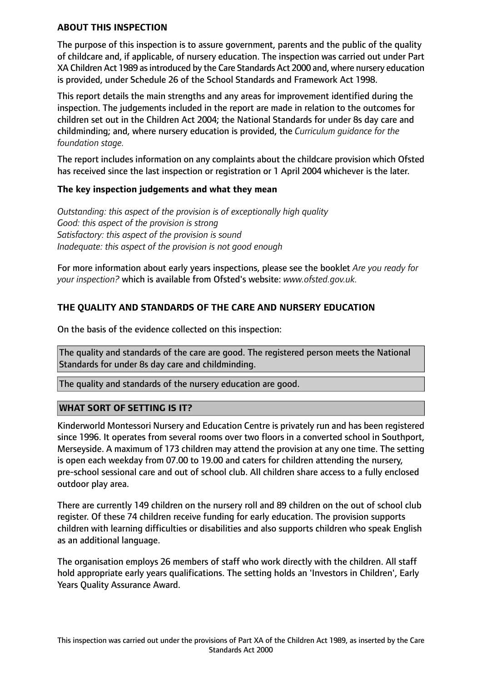#### **ABOUT THIS INSPECTION**

The purpose of this inspection is to assure government, parents and the public of the quality of childcare and, if applicable, of nursery education. The inspection was carried out under Part XA Children Act 1989 asintroduced by the Care Standards Act 2000 and, where nursery education is provided, under Schedule 26 of the School Standards and Framework Act 1998.

This report details the main strengths and any areas for improvement identified during the inspection. The judgements included in the report are made in relation to the outcomes for children set out in the Children Act 2004; the National Standards for under 8s day care and childminding; and, where nursery education is provided, the *Curriculum guidance for the foundation stage.*

The report includes information on any complaints about the childcare provision which Ofsted has received since the last inspection or registration or 1 April 2004 whichever is the later.

#### **The key inspection judgements and what they mean**

*Outstanding: this aspect of the provision is of exceptionally high quality Good: this aspect of the provision is strong Satisfactory: this aspect of the provision is sound Inadequate: this aspect of the provision is not good enough*

For more information about early years inspections, please see the booklet *Are you ready for your inspection?* which is available from Ofsted's website: *www.ofsted.gov.uk.*

# **THE QUALITY AND STANDARDS OF THE CARE AND NURSERY EDUCATION**

On the basis of the evidence collected on this inspection:

The quality and standards of the care are good. The registered person meets the National Standards for under 8s day care and childminding.

The quality and standards of the nursery education are good.

## **WHAT SORT OF SETTING IS IT?**

Kinderworld Montessori Nursery and Education Centre is privately run and has been registered since 1996. It operates from several rooms over two floors in a converted school in Southport, Merseyside. A maximum of 173 children may attend the provision at any one time. The setting is open each weekday from 07.00 to 19.00 and caters for children attending the nursery, pre-school sessional care and out of school club. All children share access to a fully enclosed outdoor play area.

There are currently 149 children on the nursery roll and 89 children on the out of school club register. Of these 74 children receive funding for early education. The provision supports children with learning difficulties or disabilities and also supports children who speak English as an additional language.

The organisation employs 26 members of staff who work directly with the children. All staff hold appropriate early years qualifications. The setting holds an 'Investors in Children', Early Years Quality Assurance Award.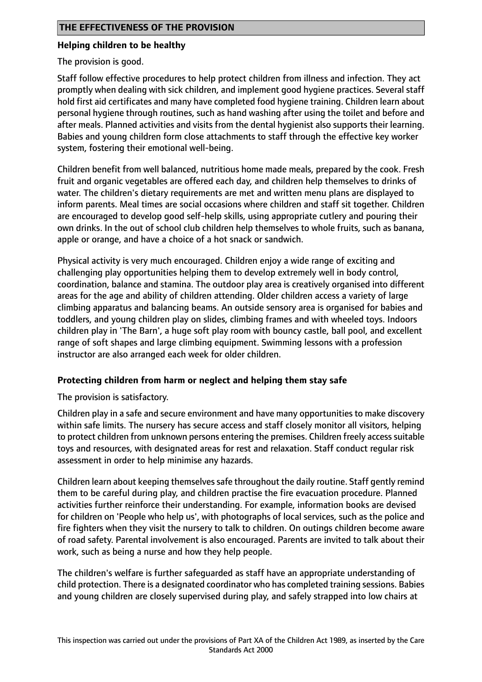## **Helping children to be healthy**

The provision is good.

Staff follow effective procedures to help protect children from illness and infection. They act promptly when dealing with sick children, and implement good hygiene practices. Several staff hold first aid certificates and many have completed food hygiene training. Children learn about personal hygiene through routines, such as hand washing after using the toilet and before and after meals. Planned activities and visits from the dental hygienist also supports their learning. Babies and young children form close attachments to staff through the effective key worker system, fostering their emotional well-being.

Children benefit from well balanced, nutritious home made meals, prepared by the cook. Fresh fruit and organic vegetables are offered each day, and children help themselves to drinks of water. The children's dietary requirements are met and written menu plans are displayed to inform parents. Meal times are social occasions where children and staff sit together. Children are encouraged to develop good self-help skills, using appropriate cutlery and pouring their own drinks. In the out of school club children help themselves to whole fruits, such as banana, apple or orange, and have a choice of a hot snack or sandwich.

Physical activity is very much encouraged. Children enjoy a wide range of exciting and challenging play opportunities helping them to develop extremely well in body control, coordination, balance and stamina. The outdoor play area is creatively organised into different areas for the age and ability of children attending. Older children access a variety of large climbing apparatus and balancing beams. An outside sensory area is organised for babies and toddlers, and young children play on slides, climbing frames and with wheeled toys. Indoors children play in 'The Barn', a huge soft play room with bouncy castle, ball pool, and excellent range of soft shapes and large climbing equipment. Swimming lessons with a profession instructor are also arranged each week for older children.

## **Protecting children from harm or neglect and helping them stay safe**

The provision is satisfactory.

Children play in a safe and secure environment and have many opportunities to make discovery within safe limits. The nursery has secure access and staff closely monitor all visitors, helping to protect children from unknown persons entering the premises. Children freely access suitable toys and resources, with designated areas for rest and relaxation. Staff conduct regular risk assessment in order to help minimise any hazards.

Children learn about keeping themselvessafe throughout the daily routine. Staff gently remind them to be careful during play, and children practise the fire evacuation procedure. Planned activities further reinforce their understanding. For example, information books are devised for children on 'People who help us', with photographs of local services, such as the police and fire fighters when they visit the nursery to talk to children. On outings children become aware of road safety. Parental involvement is also encouraged. Parents are invited to talk about their work, such as being a nurse and how they help people.

The children's welfare is further safeguarded as staff have an appropriate understanding of child protection. There is a designated coordinator who has completed training sessions. Babies and young children are closely supervised during play, and safely strapped into low chairs at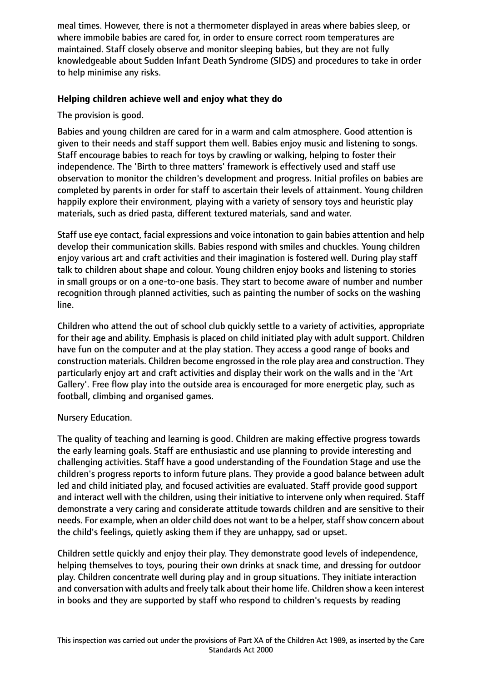meal times. However, there is not a thermometer displayed in areas where babies sleep, or where immobile babies are cared for, in order to ensure correct room temperatures are maintained. Staff closely observe and monitor sleeping babies, but they are not fully knowledgeable about Sudden Infant Death Syndrome (SIDS) and procedures to take in order to help minimise any risks.

# **Helping children achieve well and enjoy what they do**

The provision is good.

Babies and young children are cared for in a warm and calm atmosphere. Good attention is given to their needs and staff support them well. Babies enjoy music and listening to songs. Staff encourage babies to reach for toys by crawling or walking, helping to foster their independence. The 'Birth to three matters' framework is effectively used and staff use observation to monitor the children's development and progress. Initial profiles on babies are completed by parents in order for staff to ascertain their levels of attainment. Young children happily explore their environment, playing with a variety of sensory toys and heuristic play materials, such as dried pasta, different textured materials, sand and water.

Staff use eye contact, facial expressions and voice intonation to gain babies attention and help develop their communication skills. Babies respond with smiles and chuckles. Young children enjoy various art and craft activities and their imagination is fostered well. During play staff talk to children about shape and colour. Young children enjoy books and listening to stories in small groups or on a one-to-one basis. They start to become aware of number and number recognition through planned activities, such as painting the number of socks on the washing line.

Children who attend the out of school club quickly settle to a variety of activities, appropriate for their age and ability. Emphasis is placed on child initiated play with adult support. Children have fun on the computer and at the play station. They access a good range of books and construction materials. Children become engrossed in the role play area and construction. They particularly enjoy art and craft activities and display their work on the walls and in the 'Art Gallery'. Free flow play into the outside area is encouraged for more energetic play, such as football, climbing and organised games.

## Nursery Education.

The quality of teaching and learning is good. Children are making effective progress towards the early learning goals. Staff are enthusiastic and use planning to provide interesting and challenging activities. Staff have a good understanding of the Foundation Stage and use the children's progress reports to inform future plans. They provide a good balance between adult led and child initiated play, and focused activities are evaluated. Staff provide good support and interact well with the children, using their initiative to intervene only when required. Staff demonstrate a very caring and considerate attitude towards children and are sensitive to their needs. For example, when an older child does not want to be a helper, staff show concern about the child's feelings, quietly asking them if they are unhappy, sad or upset.

Children settle quickly and enjoy their play. They demonstrate good levels of independence, helping themselves to toys, pouring their own drinks at snack time, and dressing for outdoor play. Children concentrate well during play and in group situations. They initiate interaction and conversation with adults and freely talk about their home life. Children show a keen interest in books and they are supported by staff who respond to children's requests by reading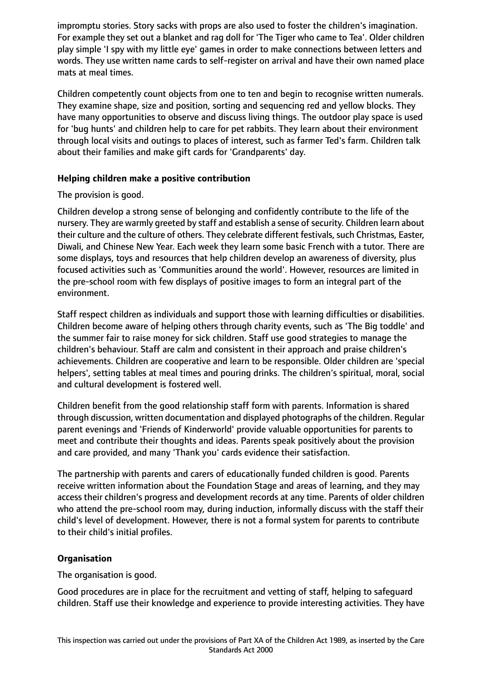impromptu stories. Story sacks with props are also used to foster the children's imagination. For example they set out a blanket and rag doll for 'The Tiger who came to Tea'. Older children play simple 'I spy with my little eye' games in order to make connections between letters and words. They use written name cards to self-register on arrival and have their own named place mats at meal times.

Children competently count objects from one to ten and begin to recognise written numerals. They examine shape, size and position, sorting and sequencing red and yellow blocks. They have many opportunities to observe and discuss living things. The outdoor play space is used for 'bug hunts' and children help to care for pet rabbits. They learn about their environment through local visits and outings to places of interest, such as farmer Ted's farm. Children talk about their families and make gift cards for 'Grandparents' day.

## **Helping children make a positive contribution**

# The provision is good.

Children develop a strong sense of belonging and confidently contribute to the life of the nursery. They are warmly greeted by staff and establish a sense of security. Children learn about their culture and the culture of others. They celebrate different festivals, such Christmas, Easter, Diwali, and Chinese New Year. Each week they learn some basic French with a tutor. There are some displays, toys and resources that help children develop an awareness of diversity, plus focused activities such as 'Communities around the world'. However, resources are limited in the pre-school room with few displays of positive images to form an integral part of the environment.

Staff respect children as individuals and support those with learning difficulties or disabilities. Children become aware of helping others through charity events, such as 'The Big toddle' and the summer fair to raise money for sick children. Staff use good strategies to manage the children's behaviour. Staff are calm and consistent in their approach and praise children's achievements. Children are cooperative and learn to be responsible. Older children are 'special helpers', setting tables at meal times and pouring drinks. The children's spiritual, moral, social and cultural development is fostered well.

Children benefit from the good relationship staff form with parents. Information is shared through discussion, written documentation and displayed photographs of the children. Regular parent evenings and 'Friends of Kinderworld' provide valuable opportunities for parents to meet and contribute their thoughts and ideas. Parents speak positively about the provision and care provided, and many 'Thank you' cards evidence their satisfaction.

The partnership with parents and carers of educationally funded children is good. Parents receive written information about the Foundation Stage and areas of learning, and they may access their children's progress and development records at any time. Parents of older children who attend the pre-school room may, during induction, informally discuss with the staff their child's level of development. However, there is not a formal system for parents to contribute to their child's initial profiles.

# **Organisation**

The organisation is good.

Good procedures are in place for the recruitment and vetting of staff, helping to safeguard children. Staff use their knowledge and experience to provide interesting activities. They have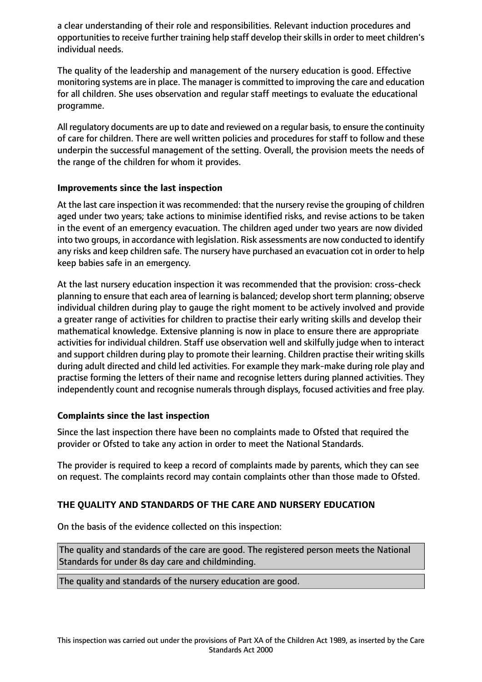a clear understanding of their role and responsibilities. Relevant induction procedures and opportunities to receive further training help staff develop their skills in order to meet children's individual needs.

The quality of the leadership and management of the nursery education is good. Effective monitoring systems are in place. The manager is committed to improving the care and education for all children. She uses observation and regular staff meetings to evaluate the educational programme.

All regulatory documents are up to date and reviewed on a regular basis, to ensure the continuity of care for children. There are well written policies and procedures for staff to follow and these underpin the successful management of the setting. Overall, the provision meets the needs of the range of the children for whom it provides.

#### **Improvements since the last inspection**

At the last care inspection it was recommended: that the nursery revise the grouping of children aged under two years; take actions to minimise identified risks, and revise actions to be taken in the event of an emergency evacuation. The children aged under two years are now divided into two groups, in accordance with legislation. Risk assessments are now conducted to identify any risks and keep children safe. The nursery have purchased an evacuation cot in order to help keep babies safe in an emergency.

At the last nursery education inspection it was recommended that the provision: cross-check planning to ensure that each area of learning is balanced; develop short term planning; observe individual children during play to gauge the right moment to be actively involved and provide a greater range of activities for children to practise their early writing skills and develop their mathematical knowledge. Extensive planning is now in place to ensure there are appropriate activities for individual children. Staff use observation well and skilfully judge when to interact and support children during play to promote their learning. Children practise their writing skills during adult directed and child led activities. For example they mark-make during role play and practise forming the letters of their name and recognise letters during planned activities. They independently count and recognise numerals through displays, focused activities and free play.

## **Complaints since the last inspection**

Since the last inspection there have been no complaints made to Ofsted that required the provider or Ofsted to take any action in order to meet the National Standards.

The provider is required to keep a record of complaints made by parents, which they can see on request. The complaints record may contain complaints other than those made to Ofsted.

## **THE QUALITY AND STANDARDS OF THE CARE AND NURSERY EDUCATION**

On the basis of the evidence collected on this inspection:

The quality and standards of the care are good. The registered person meets the National Standards for under 8s day care and childminding.

The quality and standards of the nursery education are good.